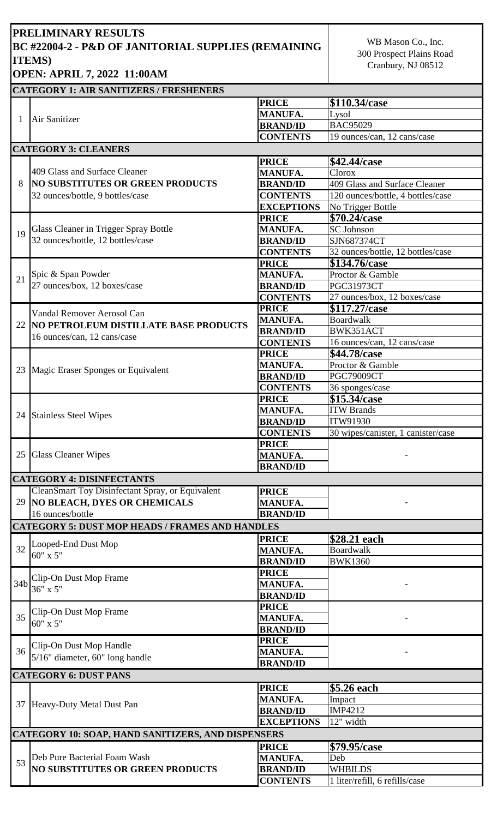## **PRELIMINARY RESULTS BC #22004-2 - P&D OF JANITORIAL SUPPLIES (REMAINING ITEMS) OPEN: APRIL 7, 2022 11:00AM**

WB Mason Co., Inc. 300 Prospect Plains Road Cranbury, NJ 08512

## **CATEGORY 1: AIR SANITIZERS / FRESHENERS**

|                 | Air Sanitizer                                                                                                                          | <b>PRICE</b>      | \$110.34/case                      |
|-----------------|----------------------------------------------------------------------------------------------------------------------------------------|-------------------|------------------------------------|
|                 |                                                                                                                                        | <b>MANUFA.</b>    | Lysol                              |
|                 |                                                                                                                                        | <b>BRAND/ID</b>   | <b>BAC95029</b>                    |
|                 |                                                                                                                                        | <b>CONTENTS</b>   | 19 ounces/can, 12 cans/case        |
|                 | <b>CATEGORY 3: CLEANERS</b>                                                                                                            |                   |                                    |
|                 |                                                                                                                                        | <b>PRICE</b>      | \$42.44/case                       |
|                 | 409 Glass and Surface Cleaner<br><b>NO SUBSTITUTES OR GREEN PRODUCTS</b><br>32 ounces/bottle, 9 bottles/case                           | <b>MANUFA.</b>    | Clorox                             |
| 8               |                                                                                                                                        | <b>BRAND/ID</b>   | 409 Glass and Surface Cleaner      |
|                 |                                                                                                                                        | <b>CONTENTS</b>   | 120 ounces/bottle, 4 bottles/case  |
|                 |                                                                                                                                        | <b>EXCEPTIONS</b> | No Trigger Bottle                  |
|                 | Glass Cleaner in Trigger Spray Bottle<br>32 ounces/bottle, 12 bottles/case                                                             | <b>PRICE</b>      | \$70.24/case                       |
|                 |                                                                                                                                        | <b>MANUFA.</b>    | <b>SC Johnson</b>                  |
| 19              |                                                                                                                                        | <b>BRAND/ID</b>   | SJN687374CT                        |
|                 |                                                                                                                                        | <b>CONTENTS</b>   | 32 ounces/bottle, 12 bottles/case  |
|                 | Spic & Span Powder<br>27 ounces/box, 12 boxes/case                                                                                     | <b>PRICE</b>      | \$134.76/case                      |
|                 |                                                                                                                                        | <b>MANUFA.</b>    | Proctor & Gamble                   |
| 21              |                                                                                                                                        | <b>BRAND/ID</b>   | <b>PGC31973CT</b>                  |
|                 |                                                                                                                                        | <b>CONTENTS</b>   | 27 ounces/box, 12 boxes/case       |
|                 |                                                                                                                                        | <b>PRICE</b>      | \$117.27/case                      |
|                 | Vandal Remover Aerosol Can<br>22 NO PETROLEUM DISTILLATE BASE PRODUCTS                                                                 | <b>MANUFA.</b>    | <b>Boardwalk</b>                   |
|                 |                                                                                                                                        | <b>BRAND/ID</b>   | BWK351ACT                          |
|                 | 16 ounces/can, 12 cans/case                                                                                                            | <b>CONTENTS</b>   | 16 ounces/can, 12 cans/case        |
|                 |                                                                                                                                        | <b>PRICE</b>      | \$44.78/case                       |
|                 |                                                                                                                                        | <b>MANUFA.</b>    | Proctor & Gamble                   |
|                 | 23 Magic Eraser Sponges or Equivalent                                                                                                  | <b>BRAND/ID</b>   | PGC79009CT                         |
|                 |                                                                                                                                        | <b>CONTENTS</b>   | 36 sponges/case                    |
|                 |                                                                                                                                        | <b>PRICE</b>      | \$15.34/case                       |
|                 | 24 Stainless Steel Wipes                                                                                                               | <b>MANUFA.</b>    | <b>ITW Brands</b>                  |
|                 |                                                                                                                                        | <b>BRAND/ID</b>   | ITW91930                           |
|                 |                                                                                                                                        | <b>CONTENTS</b>   | 30 wipes/canister, 1 canister/case |
|                 |                                                                                                                                        | <b>PRICE</b>      |                                    |
|                 | 25 Glass Cleaner Wipes                                                                                                                 | <b>MANUFA.</b>    |                                    |
|                 |                                                                                                                                        | <b>BRAND/ID</b>   |                                    |
|                 | <b>CATEGORY 4: DISINFECTANTS</b>                                                                                                       |                   |                                    |
|                 | CleanSmart Toy Disinfectant Spray, or Equivalent                                                                                       | <b>PRICE</b>      |                                    |
|                 | 29 NO BLEACH, DYES OR CHEMICALS                                                                                                        | <b>MANUFA.</b>    |                                    |
|                 | 16 ounces/bottle                                                                                                                       | <b>BRAND/ID</b>   |                                    |
|                 | <b>CATEGORY 5: DUST MOP HEADS / FRAMES AND HANDLES</b>                                                                                 |                   |                                    |
|                 |                                                                                                                                        | <b>PRICE</b>      |                                    |
| 32              | Looped-End Dust Mop<br>$60'' \times 5''$                                                                                               | <b>MANUFA.</b>    | \$28.21 each<br><b>Boardwalk</b>   |
|                 |                                                                                                                                        | <b>BRAND/ID</b>   | <b>BWK1360</b>                     |
|                 |                                                                                                                                        | <b>PRICE</b>      |                                    |
| 34 <sub>b</sub> | Clip-On Dust Mop Frame<br>36" x 5"<br>Clip-On Dust Mop Frame<br>60" x 5"<br>Clip-On Dust Mop Handle<br>5/16" diameter, 60" long handle | <b>MANUFA.</b>    |                                    |
|                 |                                                                                                                                        | <b>BRAND/ID</b>   |                                    |
|                 |                                                                                                                                        | <b>PRICE</b>      |                                    |
| 35              |                                                                                                                                        | <b>MANUFA.</b>    |                                    |
|                 |                                                                                                                                        | <b>BRAND/ID</b>   |                                    |
|                 |                                                                                                                                        | <b>PRICE</b>      |                                    |
| 36              |                                                                                                                                        | <b>MANUFA.</b>    |                                    |
|                 |                                                                                                                                        | <b>BRAND/ID</b>   |                                    |
|                 | <b>CATEGORY 6: DUST PANS</b>                                                                                                           |                   |                                    |
|                 |                                                                                                                                        |                   |                                    |
|                 | 37 Heavy-Duty Metal Dust Pan                                                                                                           | <b>PRICE</b>      | \$5.26 each                        |
|                 |                                                                                                                                        | <b>MANUFA.</b>    | Impact                             |
|                 |                                                                                                                                        | <b>BRAND/ID</b>   | IMP4212                            |
|                 |                                                                                                                                        | <b>EXCEPTIONS</b> | 12" width                          |
|                 | <b>CATEGORY 10: SOAP, HAND SANITIZERS, AND DISPENSERS</b>                                                                              |                   |                                    |
| 53              |                                                                                                                                        | <b>PRICE</b>      | \$79.95/case                       |
|                 | Deb Pure Bacterial Foam Wash<br><b>NO SUBSTITUTES OR GREEN PRODUCTS</b>                                                                | <b>MANUFA.</b>    | Deb                                |
|                 |                                                                                                                                        | <b>BRAND/ID</b>   | <b>WHBILDS</b>                     |
|                 |                                                                                                                                        | <b>CONTENTS</b>   | 1 liter/refill, 6 refills/case     |